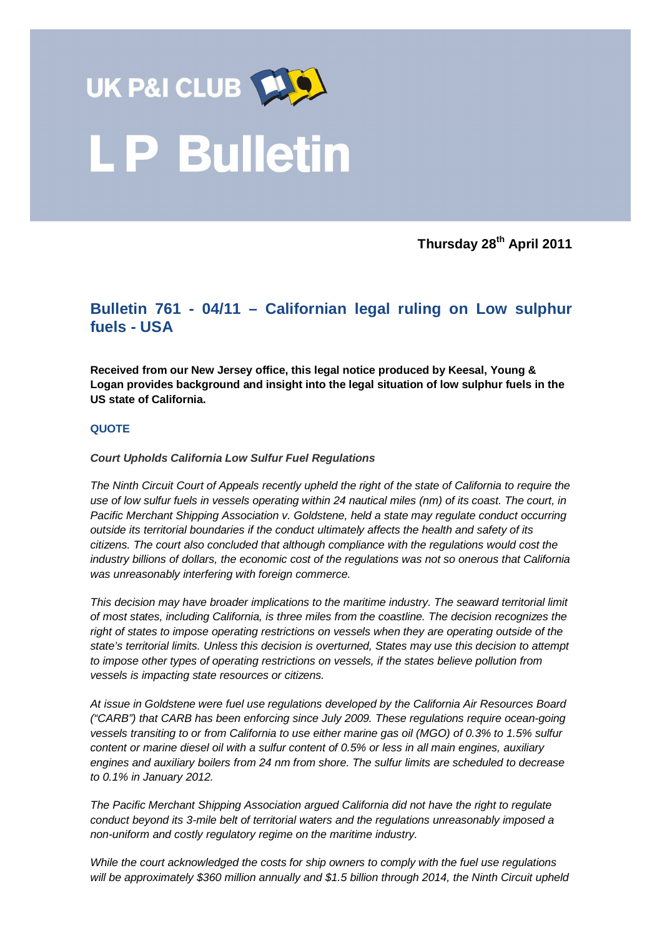

**Thursday 28th April 2011** 

## **Bulletin 761 - 04/11 – Californian legal ruling on Low sulphur fuels - USA**

**Received from our New Jersey office, this legal notice produced by Keesal, Young & Logan provides background and insight into the legal situation of low sulphur fuels in the US state of California.** 

## **QUOTE**

## **Court Upholds California Low Sulfur Fuel Regulations**

The Ninth Circuit Court of Appeals recently upheld the right of the state of California to require the use of low sulfur fuels in vessels operating within 24 nautical miles (nm) of its coast. The court, in Pacific Merchant Shipping Association v. Goldstene, held a state may regulate conduct occurring outside its territorial boundaries if the conduct ultimately affects the health and safety of its citizens. The court also concluded that although compliance with the regulations would cost the industry billions of dollars, the economic cost of the regulations was not so onerous that California was unreasonably interfering with foreign commerce.

This decision may have broader implications to the maritime industry. The seaward territorial limit of most states, including California, is three miles from the coastline. The decision recognizes the right of states to impose operating restrictions on vessels when they are operating outside of the state's territorial limits. Unless this decision is overturned, States may use this decision to attempt to impose other types of operating restrictions on vessels, if the states believe pollution from vessels is impacting state resources or citizens.

At issue in Goldstene were fuel use regulations developed by the California Air Resources Board ("CARB") that CARB has been enforcing since July 2009. These regulations require ocean-going vessels transiting to or from California to use either marine gas oil (MGO) of 0.3% to 1.5% sulfur content or marine diesel oil with a sulfur content of 0.5% or less in all main engines, auxiliary engines and auxiliary boilers from 24 nm from shore. The sulfur limits are scheduled to decrease to 0.1% in January 2012.

The Pacific Merchant Shipping Association argued California did not have the right to regulate conduct beyond its 3-mile belt of territorial waters and the regulations unreasonably imposed a non-uniform and costly regulatory regime on the maritime industry.

While the court acknowledged the costs for ship owners to comply with the fuel use regulations will be approximately \$360 million annually and \$1.5 billion through 2014, the Ninth Circuit upheld